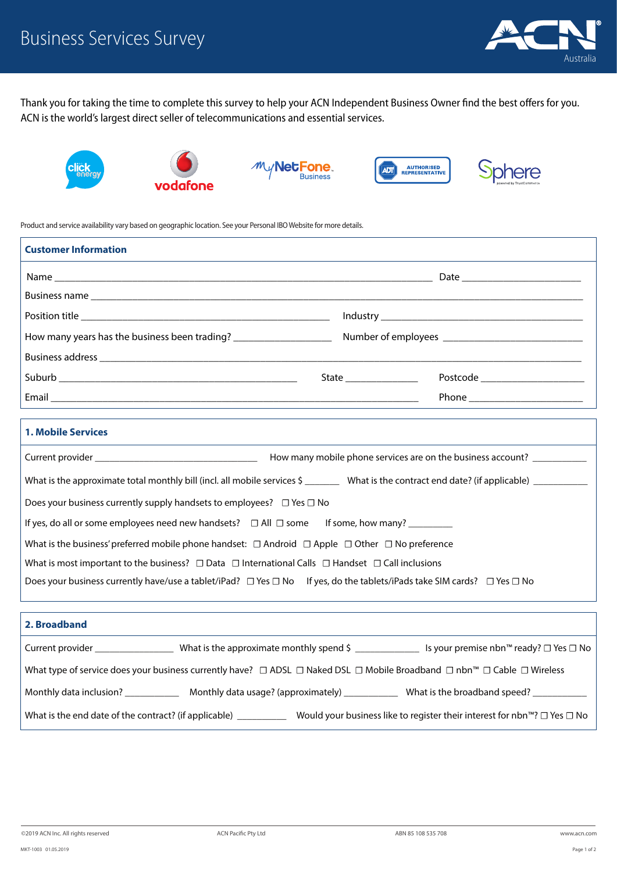

ohere

Thank you for taking the time to complete this survey to help your ACN Independent Business Owner find the best offers for you. ACN is the world's largest direct seller of telecommunications and essential services.



Product and service availability vary based on geographic location. See your Personal IBO Website for more details.

| <b>Customer Information</b>                                                                                                                  |                       |                                  |
|----------------------------------------------------------------------------------------------------------------------------------------------|-----------------------|----------------------------------|
|                                                                                                                                              |                       |                                  |
|                                                                                                                                              |                       |                                  |
|                                                                                                                                              |                       |                                  |
| How many years has the business been trading? _____________________                                                                          |                       |                                  |
|                                                                                                                                              |                       |                                  |
|                                                                                                                                              | State _______________ | Postcode _______________________ |
|                                                                                                                                              |                       | Phone __________________________ |
|                                                                                                                                              |                       |                                  |
| <b>1. Mobile Services</b>                                                                                                                    |                       |                                  |
|                                                                                                                                              |                       |                                  |
| What is the approximate total monthly bill (incl. all mobile services \$ _________ What is the contract end date? (if applicable) __________ |                       |                                  |
| Does your business currently supply handsets to employees? $\Box$ Yes $\Box$ No                                                              |                       |                                  |
| If yes, do all or some employees need new handsets? $\Box$ All $\Box$ some If some, how many? ________                                       |                       |                                  |
| What is the business' preferred mobile phone handset: $\Box$ Android $\Box$ Apple $\Box$ Other $\Box$ No preference                          |                       |                                  |
| What is most important to the business? $\Box$ Data $\Box$ International Calls $\Box$ Handset $\Box$ Call inclusions                         |                       |                                  |
| Does your business currently have/use a tablet/iPad? $\Box$ Yes $\Box$ No If yes, do the tablets/iPads take SIM cards? $\Box$ Yes $\Box$ No  |                       |                                  |
|                                                                                                                                              |                       |                                  |
| 2. Broadband                                                                                                                                 |                       |                                  |
| Current provider _______________________What is the approximate monthly spend \$ _________________ Is your premise nbn™ ready? □ Yes □ No    |                       |                                  |
|                                                                                                                                              |                       |                                  |

Monthly data inclusion? \_\_\_\_\_\_\_\_\_\_\_\_\_\_\_\_ Monthly data usage? (approximately) \_\_\_\_\_\_\_\_\_\_\_\_\_\_\_ What is the broadband speed? \_

What is the end date of the contract? (if applicable) \_\_\_\_\_\_\_\_\_\_\_\_\_ Would your business like to register their interest for nbn™? *□* Yes *□* No